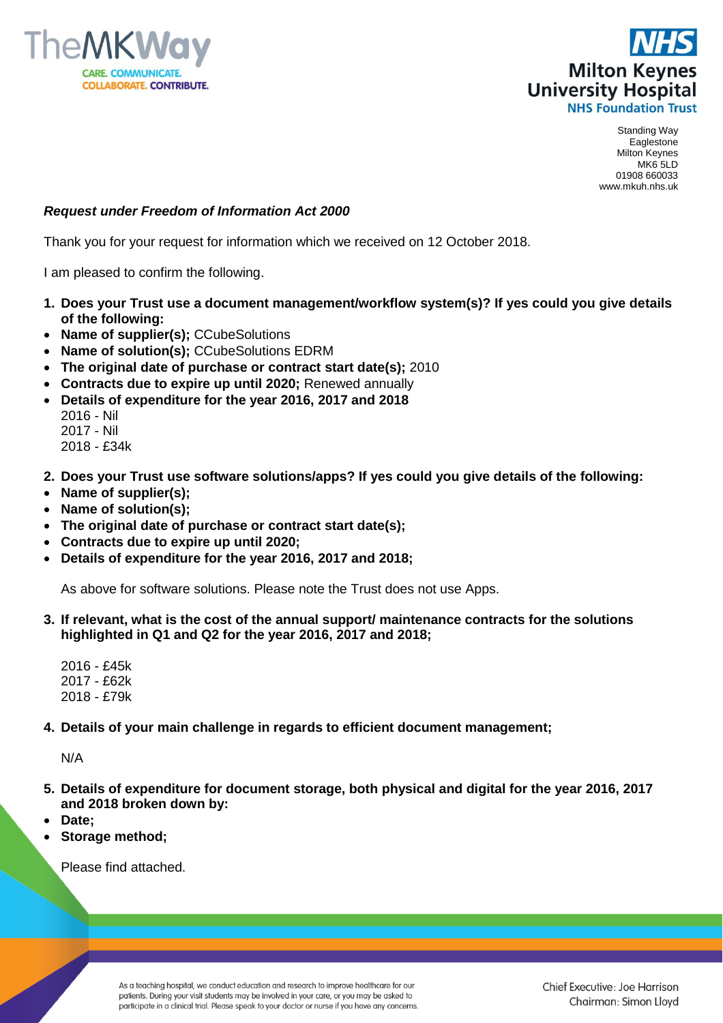



Standing Way Eaglestone Milton Keynes MK6 5LD 01908 660033 www.mkuh.nhs.uk

## *Request under Freedom of Information Act 2000*

Thank you for your request for information which we received on 12 October 2018.

I am pleased to confirm the following.

- **1. Does your Trust use a document management/workflow system(s)? If yes could you give details of the following:**
- **Name of supplier(s);** CCubeSolutions
- **Name of solution(s);** CCubeSolutions EDRM
- **The original date of purchase or contract start date(s);** 2010
- **Contracts due to expire up until 2020;** Renewed annually
- **Details of expenditure for the year 2016, 2017 and 2018**
	- 2016 Nil 2017 - Nil
	- 2018 £34k
- **2. Does your Trust use software solutions/apps? If yes could you give details of the following:**
- **Name of supplier(s);**
- **Name of solution(s);**
- **The original date of purchase or contract start date(s);**
- **Contracts due to expire up until 2020;**
- **Details of expenditure for the year 2016, 2017 and 2018;**

As above for software solutions. Please note the Trust does not use Apps.

- **3. If relevant, what is the cost of the annual support/ maintenance contracts for the solutions highlighted in Q1 and Q2 for the year 2016, 2017 and 2018;**
	- 2016 £45k 2017 - £62k 2018 - £79k
- **4. Details of your main challenge in regards to efficient document management;**

N/A

- **5. Details of expenditure for document storage, both physical and digital for the year 2016, 2017 and 2018 broken down by:**
- **Date;**
- **Storage method;**

Please find attached.

As a teaching hospital, we conduct education and research to improve healthcare for our patients. During your visit students may be involved in your care, or you may be asked to participate in a clinical trial. Please speak to your doctor or nurse if you have any concerns.